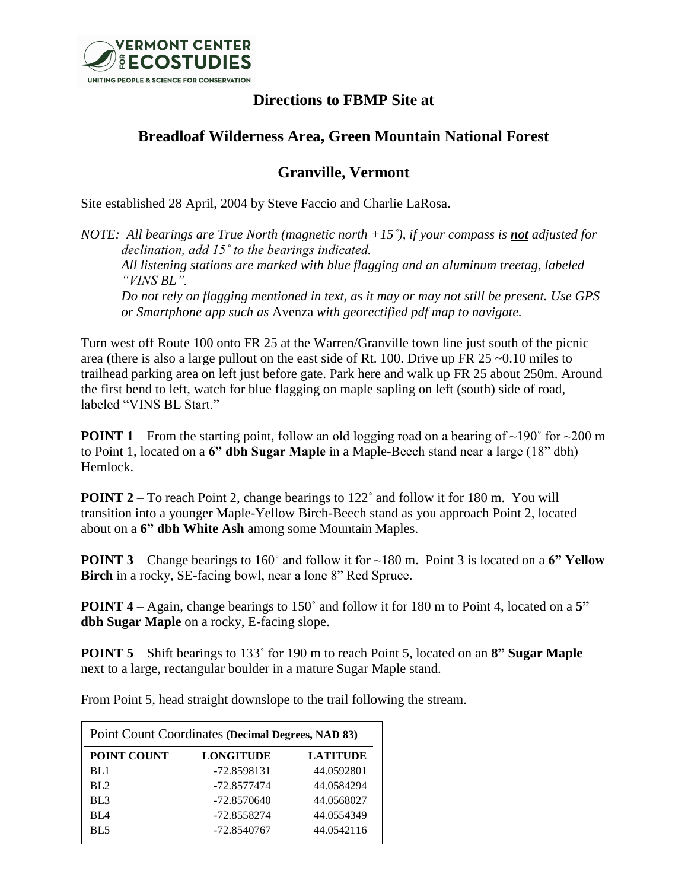

## **Directions to FBMP Site at**

## **Breadloaf Wilderness Area, Green Mountain National Forest**

## **Granville, Vermont**

Site established 28 April, 2004 by Steve Faccio and Charlie LaRosa.

*NOTE: All bearings are True North (magnetic north +15<sup>°</sup>), if your compass is not adjusted for declination, add 15˚ to the bearings indicated. All listening stations are marked with blue flagging and an aluminum treetag, labeled "VINS BL". Do not rely on flagging mentioned in text, as it may or may not still be present. Use GPS or Smartphone app such as* Avenza *with georectified pdf map to navigate.*

Turn west off Route 100 onto FR 25 at the Warren/Granville town line just south of the picnic area (there is also a large pullout on the east side of Rt. 100. Drive up FR 25 ~0.10 miles to trailhead parking area on left just before gate. Park here and walk up FR 25 about 250m. Around the first bend to left, watch for blue flagging on maple sapling on left (south) side of road, labeled "VINS BL Start."

**POINT 1** – From the starting point, follow an old logging road on a bearing of  $\sim$ 190 $\degree$  for  $\sim$ 200 m to Point 1, located on a **6" dbh Sugar Maple** in a Maple-Beech stand near a large (18" dbh) Hemlock.

**POINT 2** – To reach Point 2, change bearings to 122° and follow it for 180 m. You will transition into a younger Maple-Yellow Birch-Beech stand as you approach Point 2, located about on a **6" dbh White Ash** among some Mountain Maples.

**POINT 3** – Change bearings to 160° and follow it for ~180 m. Point 3 is located on a 6" Yellow **Birch** in a rocky, SE-facing bowl, near a lone 8" Red Spruce.

**POINT 4** – Again, change bearings to 150˚ and follow it for 180 m to Point 4, located on a **5" dbh Sugar Maple** on a rocky, E-facing slope.

**POINT 5** – Shift bearings to 133˚ for 190 m to reach Point 5, located on an **8" Sugar Maple** next to a large, rectangular boulder in a mature Sugar Maple stand.

Point Count Coordinates **(Decimal Degrees, NAD 83) POINT COUNT LONGITUDE LATITUDE** BL1 -72.8598131 44.0592801 BL2 -72.8577474 44.0584294 BL3 -72.8570640 44.0568027 BL4 -72.8558274 44.0554349 BL5 -72.8540767 44.0542116

From Point 5, head straight downslope to the trail following the stream.